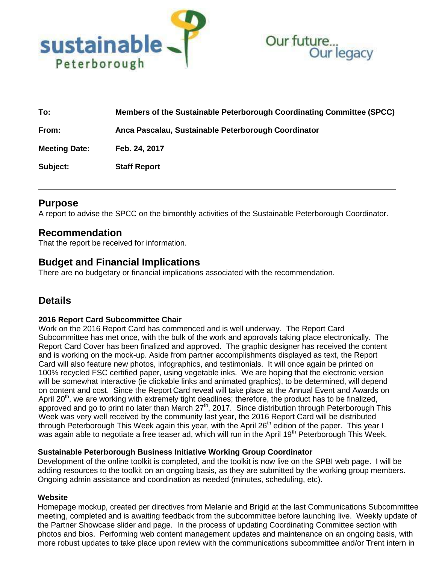



| To:                  | Members of the Sustainable Peterborough Coordinating Committee (SPCC) |
|----------------------|-----------------------------------------------------------------------|
| From:                | Anca Pascalau, Sustainable Peterborough Coordinator                   |
| <b>Meeting Date:</b> | Feb. 24, 2017                                                         |
| Subject:             | <b>Staff Report</b>                                                   |

# **Purpose**

A report to advise the SPCC on the bimonthly activities of the Sustainable Peterborough Coordinator.

### **Recommendation**

That the report be received for information.

# **Budget and Financial Implications**

There are no budgetary or financial implications associated with the recommendation.

# **Details**

#### **2016 Report Card Subcommittee Chair**

Work on the 2016 Report Card has commenced and is well underway. The Report Card Subcommittee has met once, with the bulk of the work and approvals taking place electronically. The Report Card Cover has been finalized and approved. The graphic designer has received the content and is working on the mock-up. Aside from partner accomplishments displayed as text, the Report Card will also feature new photos, infographics, and testimonials. It will once again be printed on 100% recycled FSC certified paper, using vegetable inks. We are hoping that the electronic version will be somewhat interactive (ie clickable links and animated graphics), to be determined, will depend on content and cost. Since the Report Card reveal will take place at the Annual Event and Awards on April  $20<sup>th</sup>$ , we are working with extremely tight deadlines; therefore, the product has to be finalized, approved and go to print no later than March 27<sup>th</sup>, 2017. Since distribution through Peterborough This Week was very well received by the community last year, the 2016 Report Card will be distributed through Peterborough This Week again this year, with the April 26<sup>th</sup> edition of the paper. This year I was again able to negotiate a free teaser ad, which will run in the April 19<sup>th</sup> Peterborough This Week.

#### **Sustainable Peterborough Business Initiative Working Group Coordinator**

Development of the online toolkit is completed, and the toolkit is now live on the SPBI web page. I will be adding resources to the toolkit on an ongoing basis, as they are submitted by the working group members. Ongoing admin assistance and coordination as needed (minutes, scheduling, etc).

#### **Website**

Homepage mockup, created per directives from Melanie and Brigid at the last Communications Subcommittee meeting, completed and is awaiting feedback from the subcommittee before launching live. Weekly update of the Partner Showcase slider and page. In the process of updating Coordinating Committee section with photos and bios. Performing web content management updates and maintenance on an ongoing basis, with more robust updates to take place upon review with the communications subcommittee and/or Trent intern in